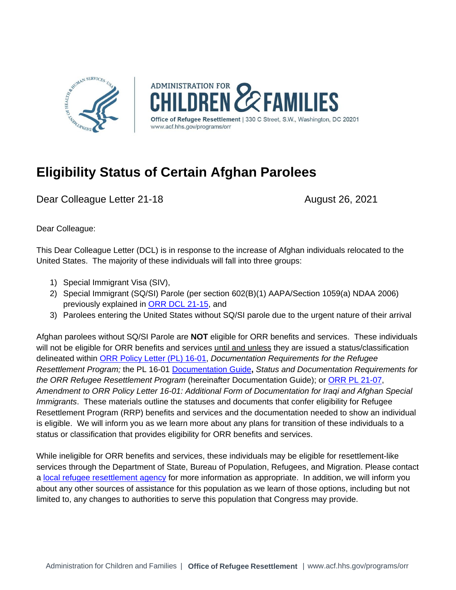

**ADMINISTRATION FOR** *<b>ZEAMILIES* of Refugee Resettlement | 330 C Street, S.W., Washington, DC 20201 www.acf.hhs.gov/programs/orr

## **Eligibility Status of Certain Afghan Parolees**

Dear Colleague Letter 21-18 August 26, 2021

Dear Colleague:

This Dear Colleague Letter (DCL) is in response to the increase of Afghan individuals relocated to the United States. The majority of these individuals will fall into three groups:

- 1) Special Immigrant Visa (SIV),
- 2) Special Immigrant (SQ/SI) Parole (per section 602(B)(1) AAPA/Section 1059(a) NDAA 2006) previously explained in [ORR DCL 21-15,](https://www.acf.hhs.gov/sites/default/files/documents/orr/ORR-DCL-21-15-SQ-SI-Parole-8.3.2021.pdf) and
- 3) Parolees entering the United States without SQ/SI parole due to the urgent nature of their arrival

Afghan parolees without SQ/SI Parole are **NOT** eligible for ORR benefits and services. These individuals will not be eligible for ORR benefits and services until and unless they are issued a status/classification delineated within [ORR Policy Letter \(PL\) 16-01,](https://www.acf.hhs.gov/orr/policy-guidance/status-and-documentation-requirements-orr-refugee-resettlement-program) *Documentation Requirements for the Refugee Resettlement Program;* the PL 16-01 [Documentation Guide](https://www.acf.hhs.gov/orr/policy-guidance/status-and-documentation-requirements-orr-refugee-resettlement-program)**,** *Status and Documentation Requirements for the ORR Refugee Resettlement Program* (hereinafter Documentation Guide); or [ORR PL 21-07,](https://www.acf.hhs.gov/sites/default/files/documents/orr/ORR-PL-21-07-SI-SQ-Parole-8.3.2021.pdf) *Amendment to ORR Policy Letter 16-01: Additional Form of Documentation for Iraqi and Afghan Special Immigrants*. These materials outline the statuses and documents that confer eligibility for Refugee Resettlement Program (RRP) benefits and services and the documentation needed to show an individual is eligible. We will inform you as we learn more about any plans for transition of these individuals to a status or classification that provides eligibility for ORR benefits and services.

While ineligible for ORR benefits and services, these individuals may be eligible for resettlement-like services through the Department of State, Bureau of Population, Refugees, and Migration. Please contact a [local refugee resettlement agency](https://www.wrapsnet.org/rp-agency-contacts/) for more information as appropriate. In addition, we will inform you about any other sources of assistance for this population as we learn of those options, including but not limited to, any changes to authorities to serve this population that Congress may provide.